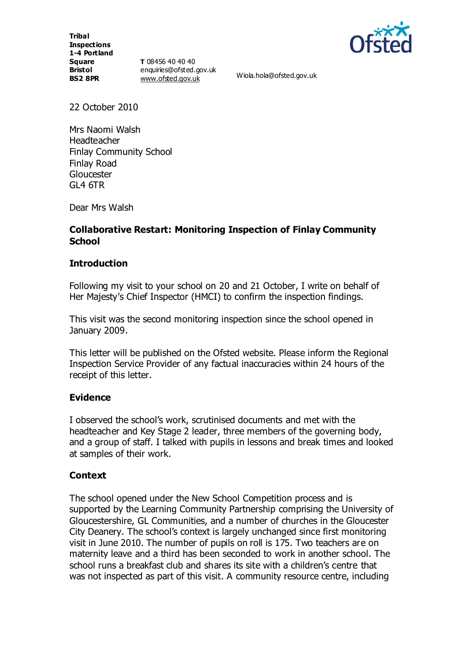**Tribal Inspections 1-4 Portland Square Bristol BS2 8PR**

**T** 08456 40 40 40 enquiries@ofsted.gov.uk [www.ofsted.gov.uk](http://www.ofsted.gov.uk/) Wiola.hola@ofsted.gov.uk



22 October 2010

Mrs Naomi Walsh **Headteacher** Finlay Community School Finlay Road Gloucester  $GI 4 6TR$ 

Dear Mrs Walsh

## **Collaborative Restart: Monitoring Inspection of Finlay Community School**

#### **Introduction**

Following my visit to your school on 20 and 21 October, I write on behalf of Her Majesty's Chief Inspector (HMCI) to confirm the inspection findings.

This visit was the second monitoring inspection since the school opened in January 2009.

This letter will be published on the Ofsted website. Please inform the Regional Inspection Service Provider of any factual inaccuracies within 24 hours of the receipt of this letter.

## **Evidence**

I observed the school's work, scrutinised documents and met with the headteacher and Key Stage 2 leader, three members of the governing body, and a group of staff. I talked with pupils in lessons and break times and looked at samples of their work.

#### **Context**

The school opened under the New School Competition process and is supported by the Learning Community Partnership comprising the University of Gloucestershire, GL Communities, and a number of churches in the Gloucester City Deanery. The school's context is largely unchanged since first monitoring visit in June 2010. The number of pupils on roll is 175. Two teachers are on maternity leave and a third has been seconded to work in another school. The school runs a breakfast club and shares its site with a children's centre that was not inspected as part of this visit. A community resource centre, including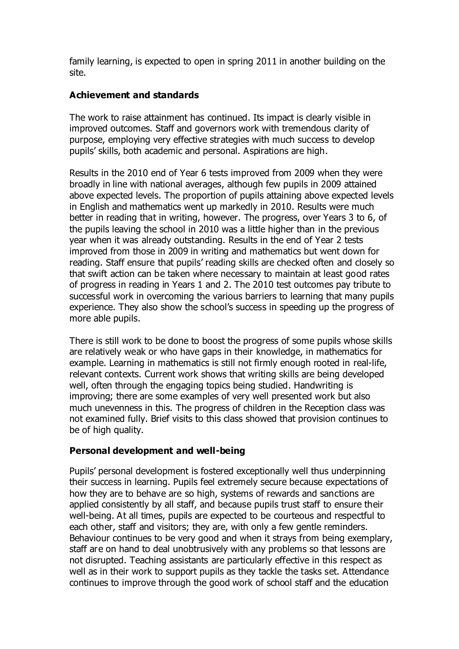family learning, is expected to open in spring 2011 in another building on the site.

# **Achievement and standards**

The work to raise attainment has continued. Its impact is clearly visible in improved outcomes. Staff and governors work with tremendous clarity of purpose, employing very effective strategies with much success to develop pupils' skills, both academic and personal. Aspirations are high.

Results in the 2010 end of Year 6 tests improved from 2009 when they were broadly in line with national averages, although few pupils in 2009 attained above expected levels. The proportion of pupils attaining above expected levels in English and mathematics went up markedly in 2010. Results were much better in reading that in writing, however. The progress, over Years 3 to 6, of the pupils leaving the school in 2010 was a little higher than in the previous year when it was already outstanding. Results in the end of Year 2 tests improved from those in 2009 in writing and mathematics but went down for reading. Staff ensure that pupils' reading skills are checked often and closely so that swift action can be taken where necessary to maintain at least good rates of progress in reading in Years 1 and 2. The 2010 test outcomes pay tribute to successful work in overcoming the various barriers to learning that many pupils experience. They also show the school's success in speeding up the progress of more able pupils.

There is still work to be done to boost the progress of some pupils whose skills are relatively weak or who have gaps in their knowledge, in mathematics for example. Learning in mathematics is still not firmly enough rooted in real-life, relevant contexts. Current work shows that writing skills are being developed well, often through the engaging topics being studied. Handwriting is improving; there are some examples of very well presented work but also much unevenness in this. The progress of children in the Reception class was not examined fully. Brief visits to this class showed that provision continues to be of high quality.

## **Personal development and well-being**

Pupils' personal development is fostered exceptionally well thus underpinning their success in learning. Pupils feel extremely secure because expectations of how they are to behave are so high, systems of rewards and sanctions are applied consistently by all staff, and because pupils trust staff to ensure their well-being. At all times, pupils are expected to be courteous and respectful to each other, staff and visitors; they are, with only a few gentle reminders. Behaviour continues to be very good and when it strays from being exemplary, staff are on hand to deal unobtrusively with any problems so that lessons are not disrupted. Teaching assistants are particularly effective in this respect as well as in their work to support pupils as they tackle the tasks set. Attendance continues to improve through the good work of school staff and the education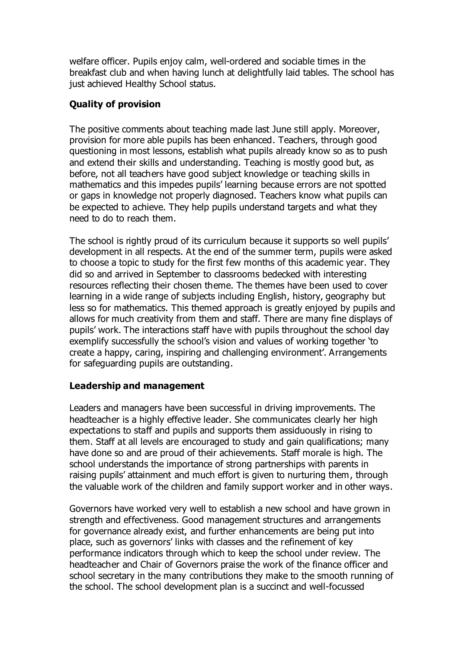welfare officer. Pupils enjoy calm, well-ordered and sociable times in the breakfast club and when having lunch at delightfully laid tables. The school has just achieved Healthy School status.

# **Quality of provision**

The positive comments about teaching made last June still apply. Moreover, provision for more able pupils has been enhanced. Teachers, through good questioning in most lessons, establish what pupils already know so as to push and extend their skills and understanding. Teaching is mostly good but, as before, not all teachers have good subject knowledge or teaching skills in mathematics and this impedes pupils' learning because errors are not spotted or gaps in knowledge not properly diagnosed. Teachers know what pupils can be expected to achieve. They help pupils understand targets and what they need to do to reach them.

The school is rightly proud of its curriculum because it supports so well pupils' development in all respects. At the end of the summer term, pupils were asked to choose a topic to study for the first few months of this academic year. They did so and arrived in September to classrooms bedecked with interesting resources reflecting their chosen theme. The themes have been used to cover learning in a wide range of subjects including English, history, geography but less so for mathematics. This themed approach is greatly enjoyed by pupils and allows for much creativity from them and staff. There are many fine displays of pupils' work. The interactions staff have with pupils throughout the school day exemplify successfully the school's vision and values of working together 'to create a happy, caring, inspiring and challenging environment'. Arrangements for safeguarding pupils are outstanding.

## **Leadership and management**

Leaders and managers have been successful in driving improvements. The headteacher is a highly effective leader. She communicates clearly her high expectations to staff and pupils and supports them assiduously in rising to them. Staff at all levels are encouraged to study and gain qualifications; many have done so and are proud of their achievements. Staff morale is high. The school understands the importance of strong partnerships with parents in raising pupils' attainment and much effort is given to nurturing them, through the valuable work of the children and family support worker and in other ways.

Governors have worked very well to establish a new school and have grown in strength and effectiveness. Good management structures and arrangements for governance already exist, and further enhancements are being put into place, such as governors' links with classes and the refinement of key performance indicators through which to keep the school under review. The headteacher and Chair of Governors praise the work of the finance officer and school secretary in the many contributions they make to the smooth running of the school. The school development plan is a succinct and well-focussed